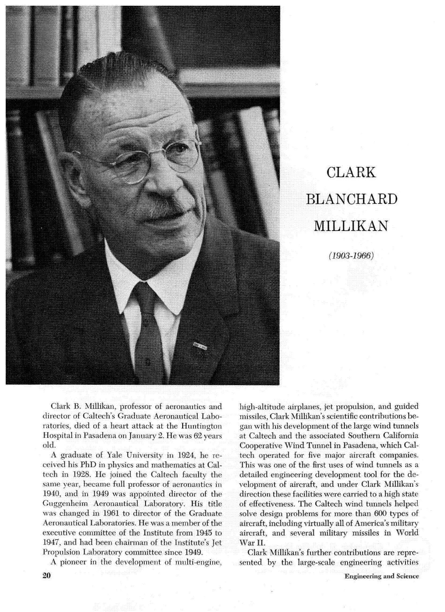

# **CLARK BLANCHARD** MILLIKAN

 $(1903 - 1966)$ 

director of Caltech's Graduate Aeronautical Labo- missiles, Clark Millikan's scientific contributions beratories, died of a heart attack at the Huntington Hospital in Pasadena on January 2. He was 62 years old.

A graduate of Yale University in 1924, he received his PhD in physics and mathematics at Caltech in 1928. He joined the Caltech faculty the same year, became full professor of aeronautics in 1940, and in 1949 was appointed director of the Guggenheim Aeronautical Laboratory. His title was changed in 1961 to director of the Gra Aeronautical Laboratories. He was a member executive committee of the Institute from 1945 to 1947, and had been chairman of the Institute's Propulsion Laboratory committee since 1949.

A pioneer in the development of multi-engine,

Clark **B.** Millikan, professor of aeronautics and high-altitude airplanes, jet propulsion, and guided gan with his development of the large wind tunnels at Caltech and the associated Southern California Cooperative Wind Tunnel in Pasadena, which Caltech operated for five major aircraft companies. This was one of the first uses of wind tunnels as a detailed engineering development tool for the development of aircraft, and under Clark Millikan's direction these facilities were carried to a high state of effectiveness. The Caltech wind tunnels helped solve design problems for more than 600 types of aircraft, including virtually all of America's military aircraft, and several military missiles in World War II.

> Clark Millikan's further contributions are represented by the large-scale engineering activities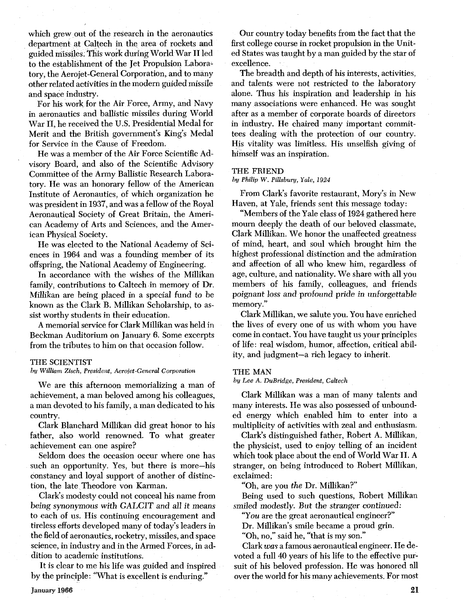which grew out of the research in the aeronautics department at Caltech in the area of rockets and guided missiles. This work during World War I1 led to the establishment of the Jet Propulsion Laboratory, the Aerojet-General Corporation, and to many other related activities in the modern guided missile and space industry.

For his work for the Air Force, Army, and Navy in aeronautics and ballistic missiles during World War 11, he received the U.S. Presidential Medal for Merit and the British government's King's Medal for Service in the Cause of Freedom.

He was a member of the Air Force Scientific Advisory Board, and also of the Scientific Advisory Committee of the Army Ballistic Research Laboratory. He was an honorary fellow of the American Institute of Aeronautics, of which organization he was president in 1937, and was a fellow of the Royal Aeronautical Society of Great Britain, the American Academy of Arts and Sciences, and the American Physical Society.

He was elected to the National Academy of Sciences in 1964 and was a founding member of its offspring, the National Academy of Engineering.

In accordance with the wishes of the Millikan family, contributions to Caltech in memory of Dr. Millikan are being placed in a special fund to be known as the Clark B. Millikan Scholarship, to assist worthy students in their education.

A memorial service for Clark Millikan was held in Beckman Auditorium on January 6. Some excerpts from the tributes to him on that occasion follow.

## **THE SCIENTIST**

### **by** *William Zisch, President, Aerojet-General Corporation*

We are this afternoon memorializing a man of achievement, a man beloved among his colleagues, a man devoted to his family, a man dedicated to his country.

Clark Blanchard Millikan did great honor to his father, also world renowned. To what greater achievement can one aspire?

Seldom does the occasion occur where one has such an opportunity. Yes, but there is more-his constancy and loyal support of another of distinction, the late Theodore von Karman.

Clark's modesty could not conceal his name from being synonymous with GALCIT and all it means to each of us. His continuing encouragement and tireless efforts developed many of today's leaders in the field of aeronautics, rocketry, missiles, and space science, in industry and in the Armed Forces, in addition to academic institutions.

It is clear to me his life was guided and inspired by the principle: "What is excellent is enduring."

Our country today benefits from the fact that the first college course in rocket propulsion in the United States was taught by a man guided by the star of excellence.

The breadth and depth of his interests, activities, and talents were not restricted to the laboratory alone. Thus his inspiration and leadership in his many associations were enhanced. He was sought after as a member of corporate boards of directors in industry. He chaired many important committees dealing with the protection of our country. His vitality was limitless. His unselfish giving of himself was an inspiration.

# **THE FRIEND**

#### **ht/** *Philip* **W.** *Pillsbury, Yale, 1924*

From Clark's favorite restaurant, Mory's in New Haven, at Yale, friends sent this message today:

"Members of the Yale class of 1924 gathered here mourn deeply the death of our beloved classmate, Clark Millikan. We honor the unaffected greatness of mind, heart, and soul which brought him the highest professional distinction and the admiration and affection of all who knew him, regardless of age, culture, and nationality. We share with all you members of his family, colleagues, and friends poignant loss and profound pride in unforgettable memory."

Clark Millikan, we salute you. You have enriched the lives of every one of us with whom you have come in contact. You have taught us your principles of life: real wisdom, humor, affection, critical ability, and judgment-a rich legacy to inherit.

# **THE MAN**

**by** *Lee A. DuBridge, President, Cultech* 

Clark Millikan was a man of many talents and many interests. He was also possessed of unbounded energy which enabled him to enter into a multiplicity of activities with zeal and enthusiasm.

Clark's distinguished father, Robert A. Millikan, the physicist, used to enjoy telling of an incident which took place about the end of World War 11. A stranger, on being introduced to Robert Millikan, exclaimed :

"Oh, are you *the* Dr. Millikan?"

Being used to such questions, Robert Millikan smiled modestly. But the stranger continued:<br>"You are the great aeronautical engineer?"

Dr. Millikan's smile became a proud grin.

"Oh, no," said he, "that is my son."

Clark **was** a famous aeronautical engineer. He devoted a full 40 years of his life to the effective pursuit of his beloved profession. He was honored all over the world for his many achievements. For most